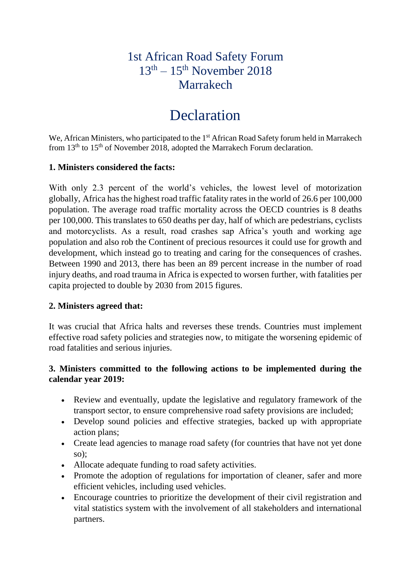# 1st African Road Safety Forum  $13<sup>th</sup> - 15<sup>th</sup>$  November 2018 Marrakech

# **Declaration**

We, African Ministers, who participated to the 1<sup>st</sup> African Road Safety forum held in Marrakech from 13<sup>th</sup> to 15<sup>th</sup> of November 2018, adopted the Marrakech Forum declaration.

#### **1. Ministers considered the facts:**

With only 2.3 percent of the world's vehicles, the lowest level of motorization globally, Africa has the highest road traffic fatality rates in the world of 26.6 per 100,000 population. The average road traffic mortality across the OECD countries is 8 deaths per 100,000. This translates to 650 deaths per day, half of which are pedestrians, cyclists and motorcyclists. As a result, road crashes sap Africa's youth and working age population and also rob the Continent of precious resources it could use for growth and development, which instead go to treating and caring for the consequences of crashes. Between 1990 and 2013, there has been an 89 percent increase in the number of road injury deaths, and road trauma in Africa is expected to worsen further, with fatalities per capita projected to double by 2030 from 2015 figures.

#### **2. Ministers agreed that:**

It was crucial that Africa halts and reverses these trends. Countries must implement effective road safety policies and strategies now, to mitigate the worsening epidemic of road fatalities and serious injuries.

### **3. Ministers committed to the following actions to be implemented during the calendar year 2019:**

- Review and eventually, update the legislative and regulatory framework of the transport sector, to ensure comprehensive road safety provisions are included;
- Develop sound policies and effective strategies, backed up with appropriate action plans;
- Create lead agencies to manage road safety (for countries that have not yet done so);
- Allocate adequate funding to road safety activities.
- Promote the adoption of regulations for importation of cleaner, safer and more efficient vehicles, including used vehicles.
- Encourage countries to prioritize the development of their civil registration and vital statistics system with the involvement of all stakeholders and international partners.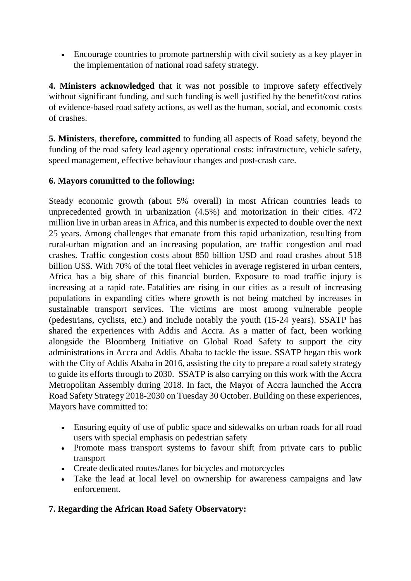• Encourage countries to promote partnership with civil society as a key player in the implementation of national road safety strategy.

**4. Ministers acknowledged** that it was not possible to improve safety effectively without significant funding, and such funding is well justified by the benefit/cost ratios of evidence-based road safety actions, as well as the human, social, and economic costs of crashes.

**5. Ministers**, **therefore, committed** to funding all aspects of Road safety, beyond the funding of the road safety lead agency operational costs: infrastructure, vehicle safety, speed management, effective behaviour changes and post-crash care.

# **6. Mayors committed to the following:**

Steady economic growth (about 5% overall) in most African countries leads to unprecedented growth in urbanization (4.5%) and motorization in their cities. 472 million live in urban areas in Africa, and this number is expected to double over the next 25 years. Among challenges that emanate from this rapid urbanization, resulting from rural-urban migration and an increasing population, are traffic congestion and road crashes. Traffic congestion costs about 850 billion USD and road crashes about 518 billion US\$. With 70% of the total fleet vehicles in average registered in urban centers, Africa has a big share of this financial burden. Exposure to road traffic injury is increasing at a rapid rate. Fatalities are rising in our cities as a result of increasing populations in expanding cities where growth is not being matched by increases in sustainable transport services. The victims are most among vulnerable people (pedestrians, cyclists, etc.) and include notably the youth (15-24 years). SSATP has shared the experiences with Addis and Accra. As a matter of fact, been working alongside the Bloomberg Initiative on Global Road Safety to support the city administrations in Accra and Addis Ababa to tackle the issue. SSATP began this work with the City of Addis Ababa in 2016, assisting the city to prepare a road safety strategy to guide its efforts through to 2030. SSATP is also carrying on this work with the Accra Metropolitan Assembly during 2018. In fact, the Mayor of Accra launched the Accra Road Safety Strategy 2018-2030 on Tuesday 30 October. Building on these experiences, Mayors have committed to:

- Ensuring equity of use of public space and sidewalks on urban roads for all road users with special emphasis on pedestrian safety
- Promote mass transport systems to favour shift from private cars to public transport
- Create dedicated routes/lanes for bicycles and motorcycles
- Take the lead at local level on ownership for awareness campaigns and law enforcement.

# **7. Regarding the African Road Safety Observatory:**